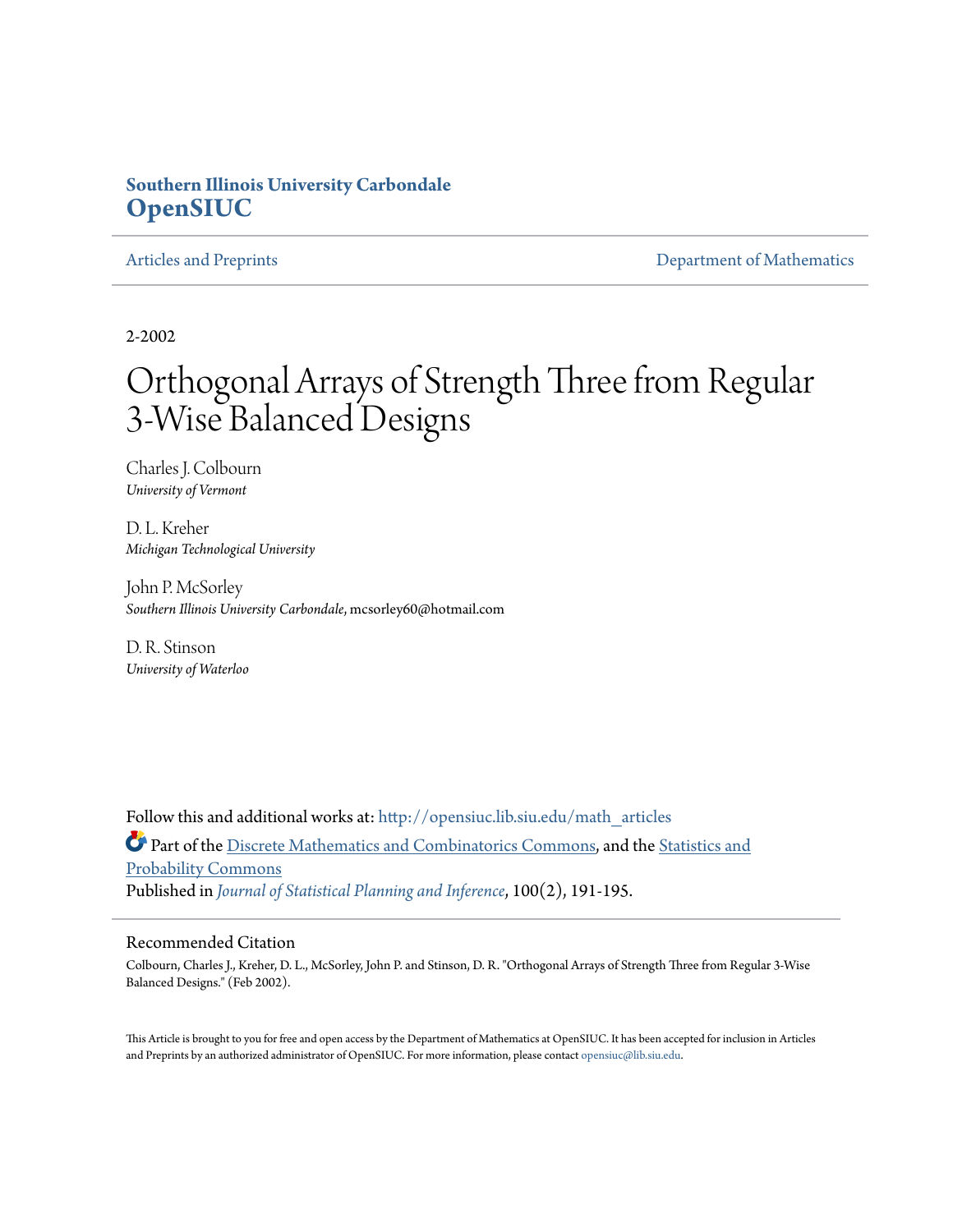## **Southern Illinois University Carbondale [OpenSIUC](http://opensiuc.lib.siu.edu?utm_source=opensiuc.lib.siu.edu%2Fmath_articles%2F36&utm_medium=PDF&utm_campaign=PDFCoverPages)**

[Articles and Preprints](http://opensiuc.lib.siu.edu/math_articles?utm_source=opensiuc.lib.siu.edu%2Fmath_articles%2F36&utm_medium=PDF&utm_campaign=PDFCoverPages) **[Department of Mathematics](http://opensiuc.lib.siu.edu/math?utm_source=opensiuc.lib.siu.edu%2Fmath_articles%2F36&utm_medium=PDF&utm_campaign=PDFCoverPages)** Department of Mathematics

2-2002

# Orthogonal Arrays of Strength Three from Regular 3-Wise Balanced Designs

Charles J. Colbourn *University of Vermont*

D. L. Kreher *Michigan Technological University*

John P. McSorley *Southern Illinois University Carbondale*, mcsorley60@hotmail.com

D. R. Stinson *University of Waterloo*

Follow this and additional works at: [http://opensiuc.lib.siu.edu/math\\_articles](http://opensiuc.lib.siu.edu/math_articles?utm_source=opensiuc.lib.siu.edu%2Fmath_articles%2F36&utm_medium=PDF&utm_campaign=PDFCoverPages) Part of the [Discrete Mathematics and Combinatorics Commons,](http://network.bepress.com/hgg/discipline/178?utm_source=opensiuc.lib.siu.edu%2Fmath_articles%2F36&utm_medium=PDF&utm_campaign=PDFCoverPages) and the [Statistics and](http://network.bepress.com/hgg/discipline/208?utm_source=opensiuc.lib.siu.edu%2Fmath_articles%2F36&utm_medium=PDF&utm_campaign=PDFCoverPages) [Probability Commons](http://network.bepress.com/hgg/discipline/208?utm_source=opensiuc.lib.siu.edu%2Fmath_articles%2F36&utm_medium=PDF&utm_campaign=PDFCoverPages) Published in *[Journal of Statistical Planning and Inference](http://www.elsevier.com/wps/find/journaldescription.cws_home/505561/description#description)*, 100(2), 191-195.

### Recommended Citation

Colbourn, Charles J., Kreher, D. L., McSorley, John P. and Stinson, D. R. "Orthogonal Arrays of Strength Three from Regular 3-Wise Balanced Designs." (Feb 2002).

This Article is brought to you for free and open access by the Department of Mathematics at OpenSIUC. It has been accepted for inclusion in Articles and Preprints by an authorized administrator of OpenSIUC. For more information, please contact [opensiuc@lib.siu.edu](mailto:opensiuc@lib.siu.edu).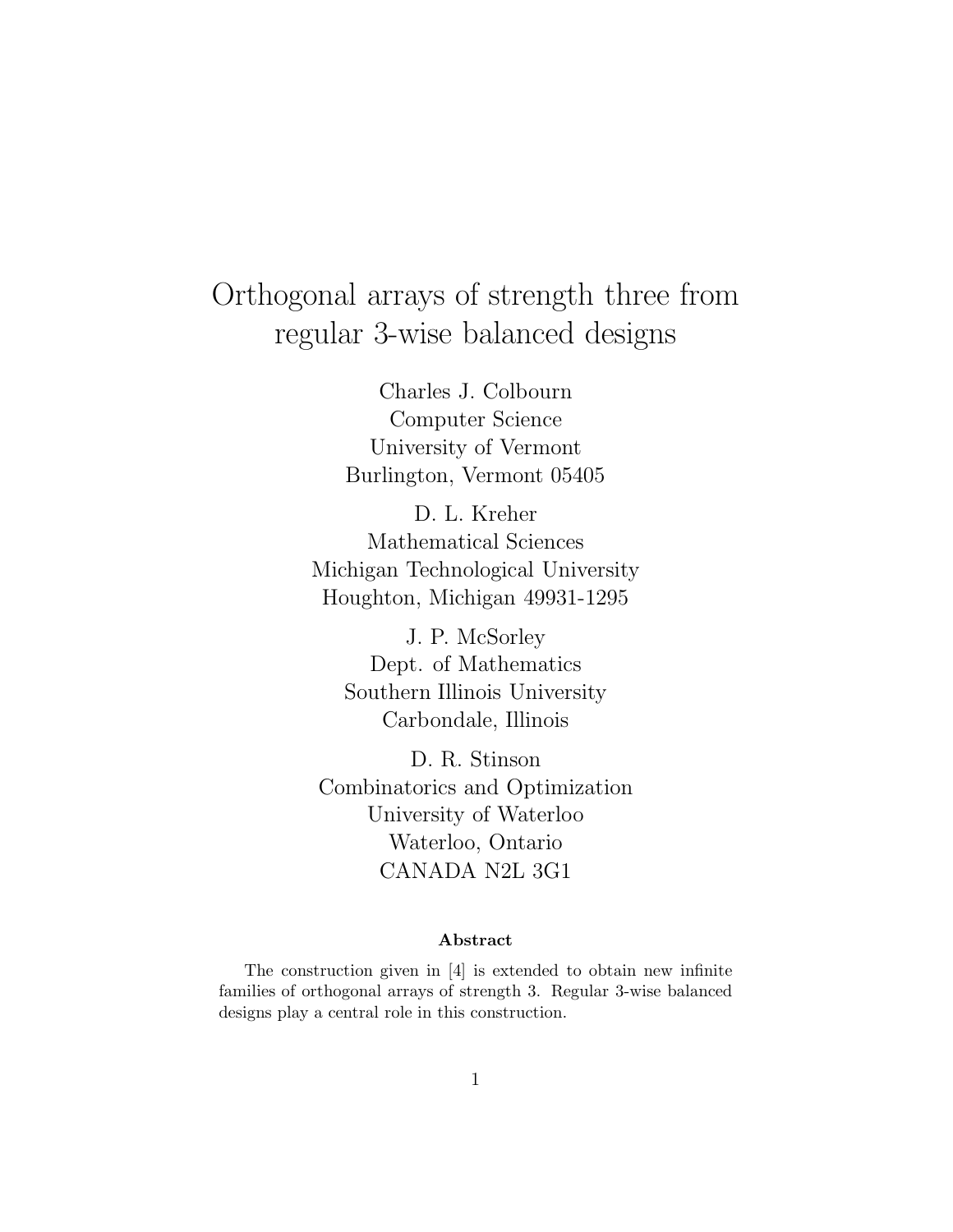# Orthogonal arrays of strength three from regular 3-wise balanced designs

Charles J. Colbourn Computer Science University of Vermont Burlington, Vermont 05405

D. L. Kreher Mathematical Sciences Michigan Technological University Houghton, Michigan 49931-1295

J. P. McSorley Dept. of Mathematics Southern Illinois University Carbondale, Illinois

D. R. Stinson Combinatorics and Optimization University of Waterloo Waterloo, Ontario CANADA N2L 3G1

### **Abstract**

The construction given in [4] is extended to obtain new infinite families of orthogonal arrays of strength 3. Regular 3-wise balanced designs play a central role in this construction.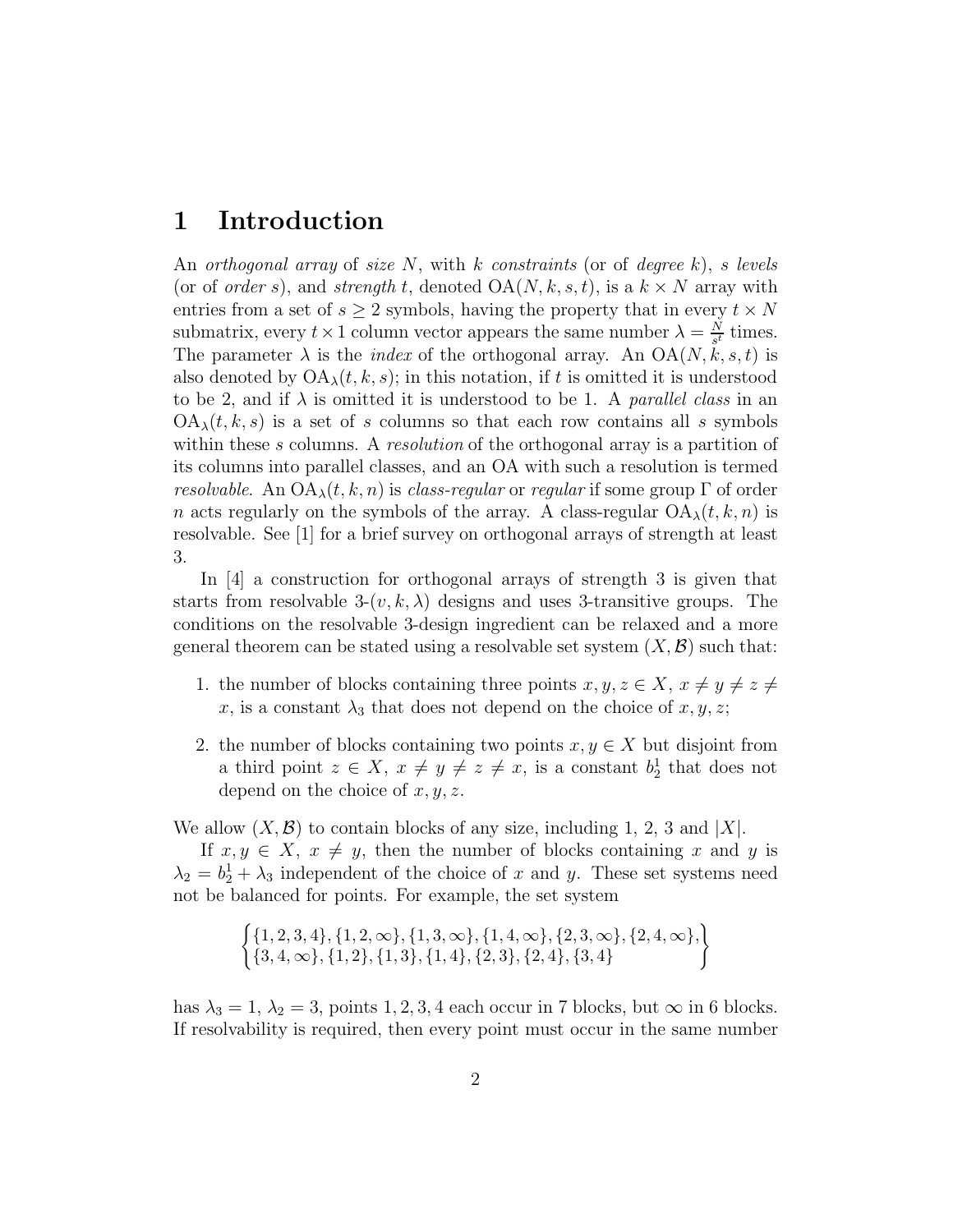# **1 Introduction**

An *orthogonal array* of *size N*, with *k constraints* (or of *degree k*), *s levels* (or of *order s*), and *strength t*, denoted  $OA(N, k, s, t)$ , is a  $k \times N$  array with entries from a set of  $s \geq 2$  symbols, having the property that in every  $t \times N$ submatrix, every  $t \times 1$  column vector appears the same number  $\lambda = \frac{N}{s^t}$  times. The parameter  $\lambda$  is the *index* of the orthogonal array. An  $OA(N, k, s, t)$  is also denoted by  $OA_{\lambda}(t, k, s)$ ; in this notation, if t is omitted it is understood to be 2, and if  $\lambda$  is omitted it is understood to be 1. A *parallel class* in an  $OA_{\lambda}(t, k, s)$  is a set of *s* columns so that each row contains all *s* symbols within these *s* columns. A *resolution* of the orthogonal array is a partition of its columns into parallel classes, and an OA with such a resolution is termed *resolvable.* An  $OA_{\lambda}(t, k, n)$  is *class-regular* or *regular* if some group  $\Gamma$  of order *n* acts regularly on the symbols of the array. A class-regular  $OA_{\lambda}(t, k, n)$  is resolvable. See [1] for a brief survey on orthogonal arrays of strength at least 3.

In [4] a construction for orthogonal arrays of strength 3 is given that starts from resolvable  $3-(v, k, \lambda)$  designs and uses 3-transitive groups. The conditions on the resolvable 3-design ingredient can be relaxed and a more general theorem can be stated using a resolvable set system  $(X, \mathcal{B})$  such that:

- 1. the number of blocks containing three points  $x, y, z \in X$ ,  $x \neq y \neq z \neq z$  $x$ , is a constant  $\lambda_3$  that does not depend on the choice of  $x, y, z$ ;
- 2. the number of blocks containing two points  $x, y \in X$  but disjoint from a third point  $z \in X$ ,  $x \neq y \neq z \neq x$ , is a constant  $b_2^1$  that does not depend on the choice of *x, y, z*.

We allow  $(X, \mathcal{B})$  to contain blocks of any size, including 1, 2, 3 and |*X*|.

If  $x, y \in X$ ,  $x \neq y$ , then the number of blocks containing x and y is  $\lambda_2 = b_2^1 + \lambda_3$  independent of the choice of *x* and *y*. These set systems need not be balanced for points. For example, the set system

$$
\left\{\{1,2,3,4\},\{1,2,\infty\},\{1,3,\infty\},\{1,4,\infty\},\{2,3,\infty\},\{2,4,\infty\},\right\}\
$$

$$
\{3,4,\infty\},\{1,2\},\{1,3\},\{1,4\},\{2,3\},\{2,4\},\{3,4\}
$$

has  $\lambda_3 = 1, \lambda_2 = 3$ , points 1, 2, 3, 4 each occur in 7 blocks, but  $\infty$  in 6 blocks. If resolvability is required, then every point must occur in the same number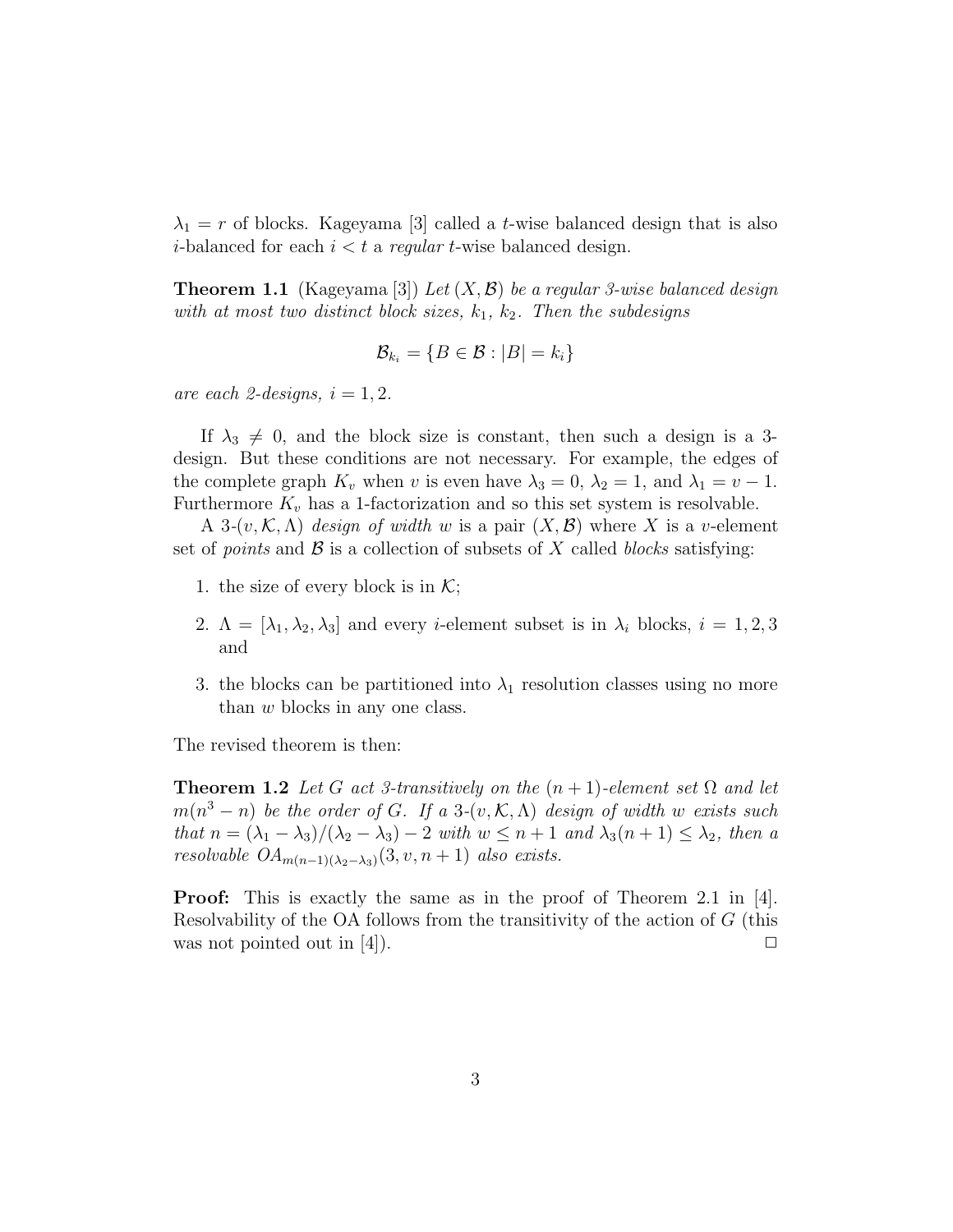$\lambda_1 = r$  of blocks. Kageyama [3] called a *t*-wise balanced design that is also *i*-balanced for each  $i < t$  a *regular t*-wise balanced design.

**Theorem 1.1** (Kageyama [3]) *Let* (*X,*B) *be a regular 3-wise balanced design with at most two distinct block sizes, k*1*, k*2*. Then the subdesigns*

$$
\mathcal{B}_{k_i} = \{B \in \mathcal{B} : |B| = k_i\}
$$

*are each 2-designs,*  $i = 1, 2$ .

If  $\lambda_3 \neq 0$ , and the block size is constant, then such a design is a 3design. But these conditions are not necessary. For example, the edges of the complete graph  $K_v$  when *v* is even have  $\lambda_3 = 0$ ,  $\lambda_2 = 1$ , and  $\lambda_1 = v - 1$ . Furthermore  $K_v$  has a 1-factorization and so this set system is resolvable.

A 3- $(v, \mathcal{K}, \Lambda)$  *design of width w* is a pair  $(X, \mathcal{B})$  where X is a *v*-element set of *points* and  $\beta$  is a collection of subsets of X called *blocks* satisfying:

- 1. the size of every block is in  $\mathcal{K}$ ;
- 2.  $\Lambda = [\lambda_1, \lambda_2, \lambda_3]$  and every *i*-element subset is in  $\lambda_i$  blocks,  $i = 1, 2, 3$ and
- 3. the blocks can be partitioned into  $\lambda_1$  resolution classes using no more than *w* blocks in any one class.

The revised theorem is then:

**Theorem 1.2** *Let G act 3-transitively on the*  $(n+1)$ *-element set*  $\Omega$  *and let*  $m(n^3 - n)$  *be the order of G. If a* 3*-*(*v, K, A) design of width w exists such that*  $n = (\lambda_1 - \lambda_3)/(\lambda_2 - \lambda_3) - 2$  *with*  $w \leq n + 1$  *and*  $\lambda_3(n + 1) \leq \lambda_2$ *, then a resolvable*  $OA_{m(n-1)(\lambda_2-\lambda_3)}(3, v, n+1)$  *also exists.* 

**Proof:** This is exactly the same as in the proof of Theorem 2.1 in [4]. Resolvability of the OA follows from the transitivity of the action of *G* (this was not pointed out in [4].  $\Box$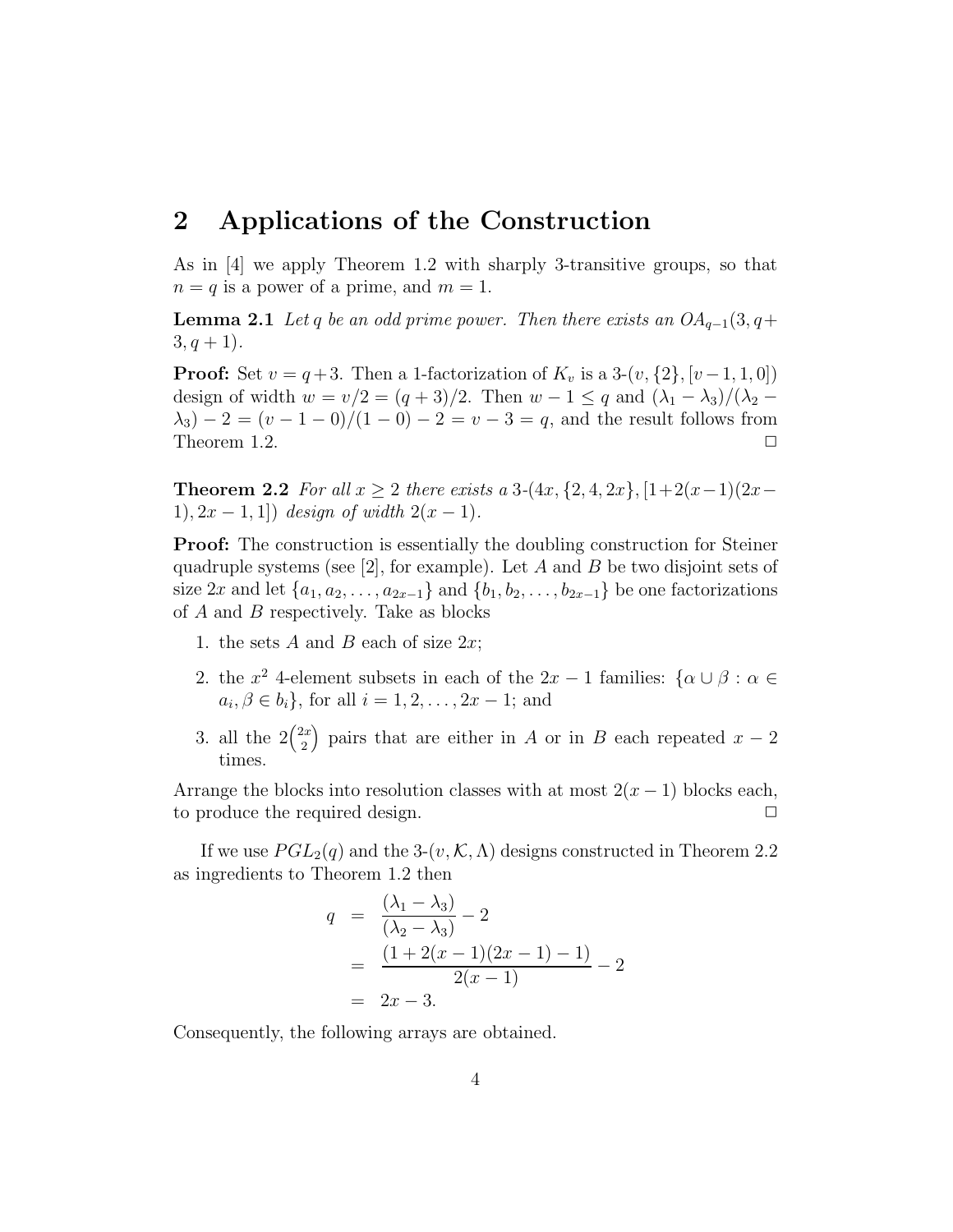## **2 Applications of the Construction**

As in [4] we apply Theorem 1.2 with sharply 3-transitive groups, so that  $n = q$  is a power of a prime, and  $m = 1$ .

**Lemma 2.1** *Let q be an odd prime power. Then there exists an*  $OA_{q-1}(3, q+)$  $3, q + 1$ .

**Proof:** Set  $v = q+3$ . Then a 1-factorization of  $K_v$  is a 3- $(v, \{2\}, [v-1, 1, 0])$ design of width  $w = v/2 = (q + 3)/2$ . Then  $w - 1 \leq q$  and  $(\lambda_1 - \lambda_3)/(\lambda_2 \lambda_3$ ) − 2 = (*v* − 1 − 0)/(1 − 0) − 2 = *v* − 3 = *q*, and the result follows from Theorem 1.2.

**Theorem 2.2** *For all*  $x \geq 2$  *there exists a* 3- $(4x, \{2, 4, 2x\}, [1+2(x-1)(2x-1)]$ 1),  $2x - 1$ , 1) *design of width*  $2(x - 1)$ *.* 

**Proof:** The construction is essentially the doubling construction for Steiner quadruple systems (see [2], for example). Let *A* and *B* be two disjoint sets of size 2x and let  $\{a_1, a_2, \ldots, a_{2x-1}\}\$  and  $\{b_1, b_2, \ldots, b_{2x-1}\}\$  be one factorizations of *A* and *B* respectively. Take as blocks

- 1. the sets *A* and *B* each of size 2*x*;
- 2. the  $x^2$  4-element subsets in each of the  $2x 1$  families:  $\{\alpha \cup \beta : \alpha \in \mathbb{R}\}$  $a_i, \beta \in b_i$ , for all  $i = 1, 2, ..., 2x - 1$ ; and
- 3. all the  $2\binom{2x}{3}$ 2 ) pairs that are either in *A* or in *B* each repeated  $x - 2$ times

Arrange the blocks into resolution classes with at most  $2(x-1)$  blocks each, to produce the required design.  $\Box$ 

If we use  $PGL_2(q)$  and the 3- $(v, K, \Lambda)$  designs constructed in Theorem 2.2 as ingredients to Theorem 1.2 then

$$
q = \frac{(\lambda_1 - \lambda_3)}{(\lambda_2 - \lambda_3)} - 2
$$
  
= 
$$
\frac{(1 + 2(x - 1)(2x - 1) - 1)}{2(x - 1)} - 2
$$
  
= 
$$
2x - 3.
$$

Consequently, the following arrays are obtained.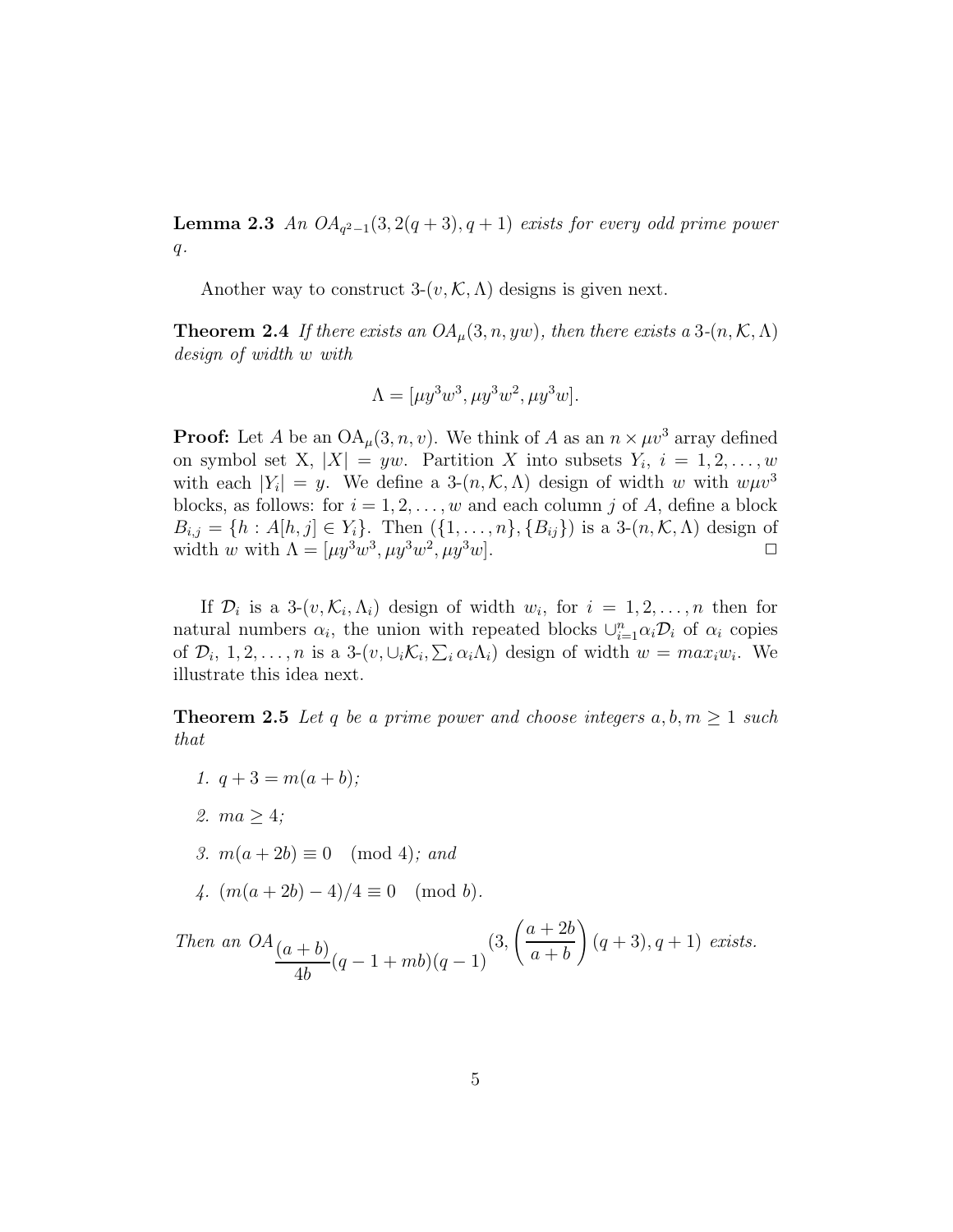**Lemma 2.3** *An*  $OA_{q^2-1}(3, 2(q+3), q+1)$  *exists for every odd prime power q.*

Another way to construct  $3-(v, K, \Lambda)$  designs is given next.

**Theorem 2.4** *If there exists an*  $OA_{\mu}(3, n, yw)$ *, then there exists a* 3*-*( $n, K, \Lambda$ ) *design of width w with*

$$
\Lambda = [\mu y^3 w^3, \mu y^3 w^2, \mu y^3 w].
$$

**Proof:** Let *A* be an  $OA_\mu(3, n, v)$ . We think of *A* as an  $n \times \mu v^3$  array defined on symbol set X,  $|X| = yw$ . Partition X into subsets  $Y_i$ ,  $i = 1, 2, \ldots, w$ with each  $|Y_i| = y$ . We define a 3- $(n, \mathcal{K}, \Lambda)$  design of width *w* with  $w \mu v^3$ blocks, as follows: for  $i = 1, 2, \ldots, w$  and each column *j* of *A*, define a block  $B_{i,j} = \{h : A[h,j] \in Y_i\}$ . Then  $(\{1, \ldots, n\}, \{B_{ij}\})$  is a 3- $(n, \mathcal{K}, \Lambda)$  design of width *w* with  $\Lambda = [\mu y^3 w^3, \mu y^3 w^2, \mu y^3 w]$ .

If  $\mathcal{D}_i$  is a 3- $(v, \mathcal{K}_i, \Lambda_i)$  design of width  $w_i$ , for  $i = 1, 2, \ldots, n$  then for natural numbers  $\alpha_i$ , the union with repeated blocks  $\cup_{i=1}^n \alpha_i \mathcal{D}_i$  of  $\alpha_i$  copies of  $\mathcal{D}_i$ , 1, 2, ..., *n* is a 3- $(v, \cup_i \mathcal{K}_i, \sum_i \alpha_i \Lambda_i)$  design of width  $w = max_i w_i$ . We illustrate this idea next.

**Theorem 2.5** Let q be a prime power and choose integers  $a, b, m \geq 1$  such *that*

- *1.*  $q + 3 = m(a + b)$ ;
- *2. ma* ≥ 4*;*
- *3.*  $m(a + 2b) \equiv 0 \pmod{4}$ ; and
- *4.*  $(m(a+2b)-4)/4 \equiv 0 \pmod{b}$ .

*Then an*  $OA(a + b)$  $\frac{1}{4b}$   $(q-1+mb)(q-1)$ (3*,*  $a + 2b$ *a* + *b*  $\mathbf{r}$  $(q+3), q+1)$  *exists.*